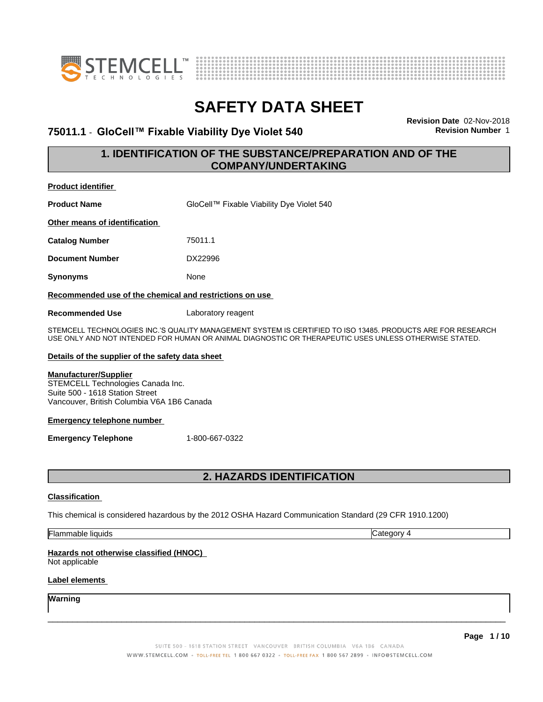



### **75011.1** - **GloCell™ FixableViabilityDyeViolet540 Revision Number** 1

**Revision Date** 02-Nov-2018

### **1. IDENTIFICATION OF THE SUBSTANCE/PREPARATION AND OF THE COMPANY/UNDERTAKING**

| <b>Product identifier</b>                               |                                           |  |  |
|---------------------------------------------------------|-------------------------------------------|--|--|
| <b>Product Name</b>                                     | GloCell™ Fixable Viability Dye Violet 540 |  |  |
| Other means of identification                           |                                           |  |  |
| <b>Catalog Number</b>                                   | 75011.1                                   |  |  |
| <b>Document Number</b>                                  | DX22996                                   |  |  |
| <b>Synonyms</b>                                         | None                                      |  |  |
| Recommended use of the chemical and restrictions on use |                                           |  |  |
| <b>Recommended Use</b>                                  | Laboratory reagent                        |  |  |

STEMCELL TECHNOLOGIES INC.'S QUALITY MANAGEMENT SYSTEM IS CERTIFIED TO ISO 13485. PRODUCTS ARE FOR RESEARCH USE ONLY AND NOT INTENDED FOR HUMAN OR ANIMAL DIAGNOSTIC OR THERAPEUTIC USES UNLESS OTHERWISE STATED.

### **Details of the supplier of the safety data sheet**

### **Manufacturer/Supplier**

STEMCELL Technologies Canada Inc. Suite 500 - 1618 Station Street Vancouver, British Columbia V6A 1B6 Canada

### **Emergency telephone number**

**Emergency Telephone** 1-800-667-0322

### **2. HAZARDS IDENTIFICATION**

### **Classification**

This chemical is considered hazardous by the 2012 OSHA Hazard Communication Standard (29 CFR 1910.1200)

Flammable liquids Category 4

### **Hazards not otherwise classified (HNOC)**

Not applicable

### **Label elements**

**Warning**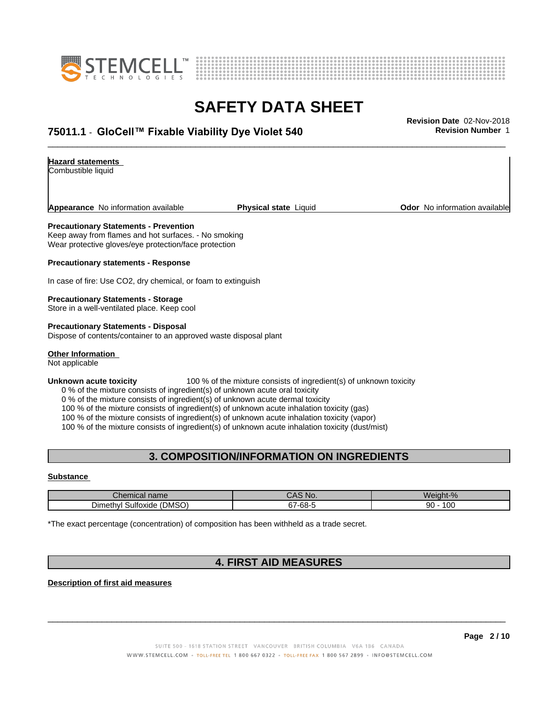



# **SAFETY DATA SHEET**<br>Revision Date 02-Nov-2018

### \_\_\_\_\_\_\_\_\_\_\_\_\_\_\_\_\_\_\_\_\_\_\_\_\_\_\_\_\_\_\_\_\_\_\_\_\_\_\_\_\_\_\_\_\_\_\_\_\_\_\_\_\_\_\_\_\_\_\_\_\_\_\_\_\_\_\_\_\_\_\_\_\_\_\_\_\_\_\_\_\_\_\_\_\_\_\_\_\_\_\_\_\_ **Revision Date** 02-Nov-2018 **75011.1** - **GloCell™ FixableViabilityDyeViolet540 Revision Number** 1

### **Hazard statements**

Combustible liquid

**Appearance** No information available **Physical state** Liquid **Department Constant Community Odor** No information available

#### **Precautionary Statements - Prevention**

Keep away from flames and hot surfaces. - No smoking Wear protective gloves/eye protection/face protection

**Precautionary statements - Response**

In case of fire: Use CO2, dry chemical, or foam to extinguish

#### **Precautionary Statements - Storage**

Store in a well-ventilated place. Keep cool

**Precautionary Statements - Disposal** Dispose of contents/container to an approved waste disposal plant

### **Other Information**

Not applicable

#### **Unknown acute toxicity** 100 % of the mixture consists of ingredient(s) of unknown toxicity

0 % of the mixture consists of ingredient(s) of unknown acute oral toxicity

0 % of the mixture consists of ingredient(s) of unknown acute dermal toxicity

100 % of the mixture consists of ingredient(s) of unknown acute inhalation toxicity (gas)

100 % of the mixture consists of ingredient(s) of unknown acute inhalation toxicity (vapor)

100 % of the mixture consists of ingredient(s) of unknown acute inhalation toxicity (dust/mist)

### **3. COMPOSITION/INFORMATION ON INGREDIENTS**

#### **Substance**

| <b>Phemic</b>                          | N <sub>I</sub>            | $\blacksquare$       |
|----------------------------------------|---------------------------|----------------------|
| al name:                               | IV.                       | We                   |
| (DMSO)<br>Sultoxide<br><b>Dimethyl</b> | $\sim$<br>-68-<br>IJ<br>. | $\sim$<br>90<br>י טע |

\*The exact percentage (concentration) of composition has been withheld as a trade secret.

### **4. FIRST AID MEASURES**

**Description of first aid measures**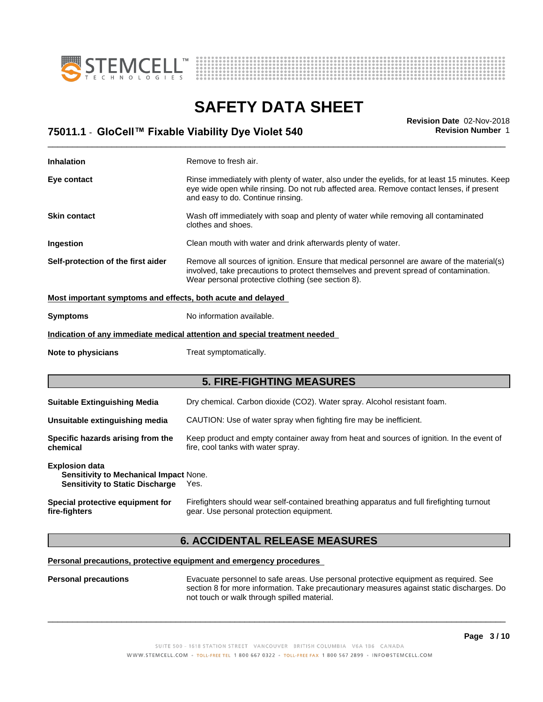



# **SAFETY DATA SHEET**<br>Revision Date 02-Nov-2018

| <b>Revision Number 1</b><br>75011.1 - GloCell™ Fixable Viability Dye Violet 540 | Revision Date 02-Nov-2018 |
|---------------------------------------------------------------------------------|---------------------------|
|                                                                                 |                           |

| <b>Inhalation</b>                                                                                                                                                               | Remove to fresh air.                                                                                                                                                                                                                      |  |  |
|---------------------------------------------------------------------------------------------------------------------------------------------------------------------------------|-------------------------------------------------------------------------------------------------------------------------------------------------------------------------------------------------------------------------------------------|--|--|
| Eye contact                                                                                                                                                                     | Rinse immediately with plenty of water, also under the eyelids, for at least 15 minutes. Keep<br>eye wide open while rinsing. Do not rub affected area. Remove contact lenses, if present<br>and easy to do. Continue rinsing.            |  |  |
| <b>Skin contact</b>                                                                                                                                                             | Wash off immediately with soap and plenty of water while removing all contaminated<br>clothes and shoes.                                                                                                                                  |  |  |
| Ingestion                                                                                                                                                                       | Clean mouth with water and drink afterwards plenty of water.                                                                                                                                                                              |  |  |
| Self-protection of the first aider                                                                                                                                              | Remove all sources of ignition. Ensure that medical personnel are aware of the material(s)<br>involved, take precautions to protect themselves and prevent spread of contamination.<br>Wear personal protective clothing (see section 8). |  |  |
| Most important symptoms and effects, both acute and delayed                                                                                                                     |                                                                                                                                                                                                                                           |  |  |
| No information available.<br><b>Symptoms</b>                                                                                                                                    |                                                                                                                                                                                                                                           |  |  |
|                                                                                                                                                                                 | Indication of any immediate medical attention and special treatment needed                                                                                                                                                                |  |  |
| Note to physicians                                                                                                                                                              | Treat symptomatically.                                                                                                                                                                                                                    |  |  |
|                                                                                                                                                                                 | <b>5. FIRE-FIGHTING MEASURES</b>                                                                                                                                                                                                          |  |  |
| <b>Suitable Extinguishing Media</b>                                                                                                                                             | Dry chemical. Carbon dioxide (CO2). Water spray. Alcohol resistant foam.                                                                                                                                                                  |  |  |
| Unsuitable extinguishing media                                                                                                                                                  | CAUTION: Use of water spray when fighting fire may be inefficient.                                                                                                                                                                        |  |  |
| Specific hazards arising from the<br>Keep product and empty container away from heat and sources of ignition. In the event of<br>chemical<br>fire, cool tanks with water spray. |                                                                                                                                                                                                                                           |  |  |
| <b>Explosion data</b><br>Sensitivity to Mechanical Impact None.<br><b>Sensitivity to Static Discharge</b>                                                                       | Yes.                                                                                                                                                                                                                                      |  |  |
|                                                                                                                                                                                 |                                                                                                                                                                                                                                           |  |  |

### **6. ACCIDENTAL RELEASE MEASURES**

### **Personal precautions, protective equipment and emergency procedures**

**Personal precautions** Evacuate personnel to safe areas. Use personal protective equipment as required.See section 8 for more information. Take precautionary measures against static discharges. Do not touch or walk through spilled material.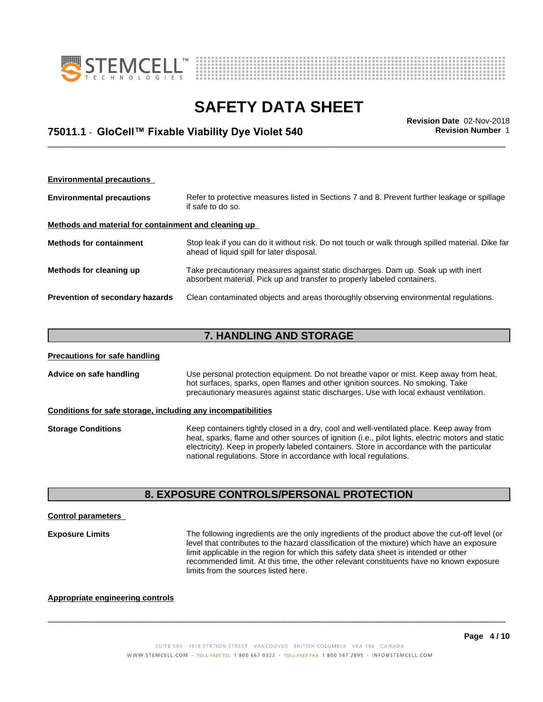



### \_\_\_\_\_\_\_\_\_\_\_\_\_\_\_\_\_\_\_\_\_\_\_\_\_\_\_\_\_\_\_\_\_\_\_\_\_\_\_\_\_\_\_\_\_\_\_\_\_\_\_\_\_\_\_\_\_\_\_\_\_\_\_\_\_\_\_\_\_\_\_\_\_\_\_\_\_\_\_\_\_\_\_\_\_\_\_\_\_\_\_\_\_ **Revision Date** 02-Nov-2018 **75011.1** - **GloCell™ FixableViabilityDyeViolet540 Revision Number** 1

| <b>Environmental precautions</b>                                                                                                                      |                                                                                                                                                               |  |  |
|-------------------------------------------------------------------------------------------------------------------------------------------------------|---------------------------------------------------------------------------------------------------------------------------------------------------------------|--|--|
| Refer to protective measures listed in Sections 7 and 8. Prevent further leakage or spillage<br><b>Environmental precautions</b><br>if safe to do so. |                                                                                                                                                               |  |  |
| Methods and material for containment and cleaning up                                                                                                  |                                                                                                                                                               |  |  |
| <b>Methods for containment</b>                                                                                                                        | Stop leak if you can do it without risk. Do not touch or walk through spilled material. Dike far<br>ahead of liquid spill for later disposal.                 |  |  |
| Methods for cleaning up                                                                                                                               | Take precautionary measures against static discharges. Dam up. Soak up with inert<br>absorbent material. Pick up and transfer to properly labeled containers. |  |  |
| Prevention of secondary hazards                                                                                                                       | Clean contaminated objects and areas thoroughly observing environmental regulations.                                                                          |  |  |

### **7. HANDLING AND STORAGE**

| <b>Precautions for safe handling</b>                                                                                                                                                                                                                                                        |                                                                                                                                                                                                                                                                                                                                                                 |  |  |
|---------------------------------------------------------------------------------------------------------------------------------------------------------------------------------------------------------------------------------------------------------------------------------------------|-----------------------------------------------------------------------------------------------------------------------------------------------------------------------------------------------------------------------------------------------------------------------------------------------------------------------------------------------------------------|--|--|
| Advice on safe handling<br>Use personal protection equipment. Do not breathe vapor or mist. Keep away from heat,<br>hot surfaces, sparks, open flames and other ignition sources. No smoking. Take<br>precautionary measures against static discharges. Use with local exhaust ventilation. |                                                                                                                                                                                                                                                                                                                                                                 |  |  |
|                                                                                                                                                                                                                                                                                             | Conditions for safe storage, including any incompatibilities                                                                                                                                                                                                                                                                                                    |  |  |
| <b>Storage Conditions</b>                                                                                                                                                                                                                                                                   | Keep containers tightly closed in a dry, cool and well-ventilated place. Keep away from<br>heat, sparks, flame and other sources of ignition (i.e., pilot lights, electric motors and static<br>electricity). Keep in properly labeled containers. Store in accordance with the particular<br>national regulations. Store in accordance with local regulations. |  |  |

### **8. EXPOSURE CONTROLS/PERSONAL PROTECTION**

### **Control parameters**

**Exposure Limits** The following ingredients are the only ingredients of the product above the cut-off level (or level that contributes to the hazard classification of the mixture) which have an exposure limit applicable in the region for which this safety data sheet is intended or other recommended limit. At this time, the other relevant constituents have no known exposure limits from the sources listed here.

 $\overline{\phantom{a}}$  ,  $\overline{\phantom{a}}$  ,  $\overline{\phantom{a}}$  ,  $\overline{\phantom{a}}$  ,  $\overline{\phantom{a}}$  ,  $\overline{\phantom{a}}$  ,  $\overline{\phantom{a}}$  ,  $\overline{\phantom{a}}$  ,  $\overline{\phantom{a}}$  ,  $\overline{\phantom{a}}$  ,  $\overline{\phantom{a}}$  ,  $\overline{\phantom{a}}$  ,  $\overline{\phantom{a}}$  ,  $\overline{\phantom{a}}$  ,  $\overline{\phantom{a}}$  ,  $\overline{\phantom{a}}$ 

### **Appropriate engineering controls**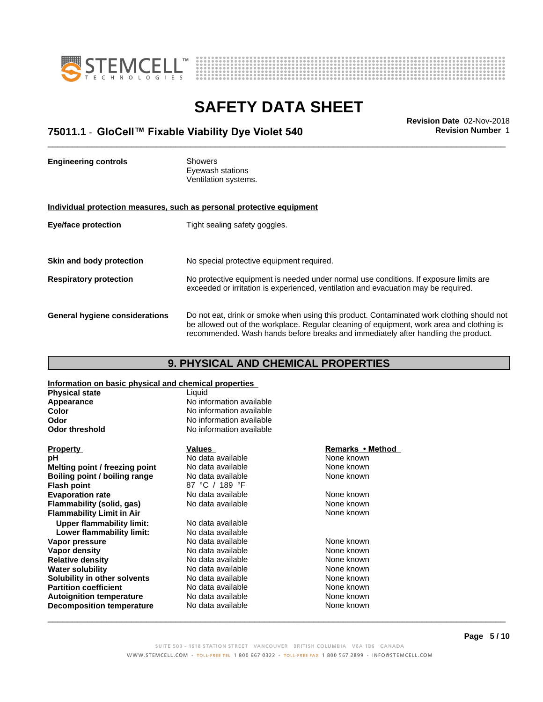



### \_\_\_\_\_\_\_\_\_\_\_\_\_\_\_\_\_\_\_\_\_\_\_\_\_\_\_\_\_\_\_\_\_\_\_\_\_\_\_\_\_\_\_\_\_\_\_\_\_\_\_\_\_\_\_\_\_\_\_\_\_\_\_\_\_\_\_\_\_\_\_\_\_\_\_\_\_\_\_\_\_\_\_\_\_\_\_\_\_\_\_\_\_ **Revision Date** 02-Nov-2018 **75011.1** - **GloCell™ FixableViabilityDyeViolet540 Revision Number** 1

**Engineering controls** Showers Eyewash stations Ventilation systems. **Individual protection measures, such as personal protective equipment Eye/face protection** Tight sealing safety goggles. **Skin and body protection** No special protective equipment required. **Respiratory protection** No protective equipment is needed under normal use conditions. If exposure limits are exceeded or irritation is experienced, ventilation and evacuation may be required. **General hygiene considerations** Do not eat, drink or smoke when using this product. Contaminated work clothing should not be allowed out of the workplace. Regular cleaning of equipment, work area and clothing is recommended. Wash hands before breaks and immediately after handling the product.

### **9. PHYSICAL AND CHEMICAL PROPERTIES**

**Information on basic physical and chemical properties**

| <b>Physical state</b>            | Liquid                   |                  |  |
|----------------------------------|--------------------------|------------------|--|
| Appearance                       | No information available |                  |  |
| Color                            | No information available |                  |  |
| <b>Odor</b>                      | No information available |                  |  |
| <b>Odor threshold</b>            | No information available |                  |  |
| <b>Property</b>                  | Values                   | Remarks • Method |  |
| рH                               | No data available        | None known       |  |
| Melting point / freezing point   | No data available        | None known       |  |
| Boiling point / boiling range    | No data available        | None known       |  |
| <b>Flash point</b>               | 87 °C / 189 °F           |                  |  |
| <b>Evaporation rate</b>          | No data available        | None known       |  |
| Flammability (solid, gas)        | No data available        | None known       |  |
| <b>Flammability Limit in Air</b> |                          | None known       |  |
| <b>Upper flammability limit:</b> | No data available        |                  |  |
| Lower flammability limit:        | No data available        |                  |  |
| Vapor pressure                   | No data available        | None known       |  |
| Vapor density                    | No data available        | None known       |  |
| <b>Relative density</b>          | No data available        | None known       |  |
| <b>Water solubility</b>          | No data available        | None known       |  |
| Solubility in other solvents     | No data available        | None known       |  |
| <b>Partition coefficient</b>     | No data available        | None known       |  |
| <b>Autoignition temperature</b>  | No data available        | None known       |  |
| <b>Decomposition temperature</b> | No data available        | None known       |  |
|                                  |                          |                  |  |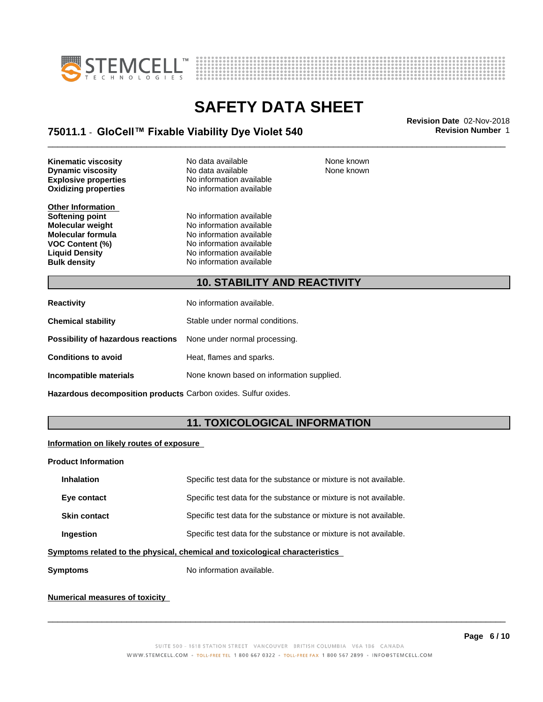



None known

### **SAFETY DATA SHEET**

### \_\_\_\_\_\_\_\_\_\_\_\_\_\_\_\_\_\_\_\_\_\_\_\_\_\_\_\_\_\_\_\_\_\_\_\_\_\_\_\_\_\_\_\_\_\_\_\_\_\_\_\_\_\_\_\_\_\_\_\_\_\_\_\_\_\_\_\_\_\_\_\_\_\_\_\_\_\_\_\_\_\_\_\_\_\_\_\_\_\_\_\_\_ **Revision Date** 02-Nov-2018 **75011.1** - **GloCell™ FixableViabilityDyeViolet540 Revision Number** 1

**Oxidizing properties Kinematic viscosity No data available None known Dynamic viscosity** No data available

**Other Information**

**Explosive properties**<br> **Oxidizing properties**<br>
No information available

**Softening point**<br> **Molecular weight**<br> **Molecular weight**<br> **Molecular weight**<br> **Molecular weight Molecular weight Molecular is a structure of the No information available Molecular formula Molecular System Molecular formula** No information available<br> **VOC Content (%)** No information available **VOC Content (%)**<br> **Liquid Density**<br> **No information available Liquid Density No information available**<br> **Bulk density No information available No information available** 

**10. STABILITY AND REACTIVITY**

| No information available.                                               |
|-------------------------------------------------------------------------|
| Stable under normal conditions.                                         |
| <b>Possibility of hazardous reactions</b> None under normal processing. |
| Heat, flames and sparks.                                                |
| None known based on information supplied.                               |
|                                                                         |

**Hazardous decomposition products** Carbon oxides. Sulfur oxides.

### **11. TOXICOLOGICAL INFORMATION**

### **Information on likely routes of exposure**

#### **Product Information**

| <b>Inhalation</b>                                                            | Specific test data for the substance or mixture is not available. |  |
|------------------------------------------------------------------------------|-------------------------------------------------------------------|--|
| Eye contact                                                                  | Specific test data for the substance or mixture is not available. |  |
| <b>Skin contact</b>                                                          | Specific test data for the substance or mixture is not available. |  |
| <b>Ingestion</b>                                                             | Specific test data for the substance or mixture is not available. |  |
| umptama xalatad ta tha phugiaal, ahamigal and taylaalagigal ahaxaatayigtiga. |                                                                   |  |

**Symptoms related to the physical,chemical and toxicological characteristics**

**Symptoms** No information available.

### **Numerical measures of toxicity**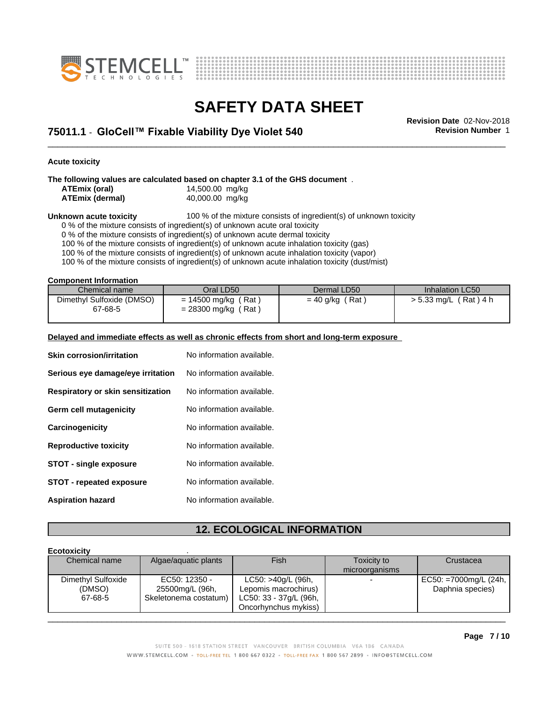



\_\_\_\_\_\_\_\_\_\_\_\_\_\_\_\_\_\_\_\_\_\_\_\_\_\_\_\_\_\_\_\_\_\_\_\_\_\_\_\_\_\_\_\_\_\_\_\_\_\_\_\_\_\_\_\_\_\_\_\_\_\_\_\_\_\_\_\_\_\_\_\_\_\_\_\_\_\_\_\_\_\_\_\_\_\_\_\_\_\_\_\_\_ **Revision Date** 02-Nov-2018 **75011.1** - **GloCell™ FixableViabilityDyeViolet540 Revision Number** 1

**Acute toxicity**

**The following values are calculated based on chapter 3.1 of the GHS document** .

| ATEmix (oral)          | 14,500.00 mg/kg |  |
|------------------------|-----------------|--|
| <b>ATEmix (dermal)</b> | 40,000.00 mg/kg |  |

**Unknown acute toxicity** 100 % of the mixture consists of ingredient(s) of unknown toxicity

0 % of the mixture consists of ingredient(s) of unknown acute oral toxicity

0 % of the mixture consists of ingredient(s) of unknown acute dermal toxicity

100 % of the mixture consists of ingredient(s) of unknown acute inhalation toxicity (gas)

100 % of the mixture consists of ingredient(s) of unknown acute inhalation toxicity (vapor)

100 % of the mixture consists of ingredient(s) of unknown acute inhalation toxicity (dust/mist)

**Component Information**

| Chemical name                        | Oral LD50                                                  | Dermal LD50            | Inhalation LC50         |
|--------------------------------------|------------------------------------------------------------|------------------------|-------------------------|
| Dimethyl Sulfoxide (DMSO)<br>67-68-5 | (Rat<br>$= 14500$ mg/kg (<br>$'$ Rat,<br>$= 28300$ mg/kg ( | (Rat)<br>$= 40$ g/kg ( | 「Rat)4 h<br>> 5.33 mg/L |

#### **Delayed and immediate effects as well as chronic effects from short and long-term exposure**

| <b>Skin corrosion/irritation</b>  | No information available. |
|-----------------------------------|---------------------------|
| Serious eye damage/eye irritation | No information available. |
| Respiratory or skin sensitization | No information available. |
| Germ cell mutagenicity            | No information available. |
| Carcinogenicity                   | No information available. |
| <b>Reproductive toxicity</b>      | No information available. |
| <b>STOT - single exposure</b>     | No information available. |
| <b>STOT - repeated exposure</b>   | No information available. |
| <b>Aspiration hazard</b>          | No information available. |

### **12. ECOLOGICAL INFORMATION**

#### **Ecotoxicity** . Chemical name Algae/aquatic plants Fish Fish Toxicity to microorganisms **Crustacea** Dimethyl Sulfoxide (DMSO) 67-68-5 Skeletonema costatum) EC50: 12350 - 25500mg/L (96h, LC50: >40g/L (96h, Lepomis macrochirus) LC50: 33 - 37g/L (96h, Oncorhynchus mykiss) EC50: =7000mg/L (24h, Daphnia species)  $\overline{\phantom{a}}$  ,  $\overline{\phantom{a}}$  ,  $\overline{\phantom{a}}$  ,  $\overline{\phantom{a}}$  ,  $\overline{\phantom{a}}$  ,  $\overline{\phantom{a}}$  ,  $\overline{\phantom{a}}$  ,  $\overline{\phantom{a}}$  ,  $\overline{\phantom{a}}$  ,  $\overline{\phantom{a}}$  ,  $\overline{\phantom{a}}$  ,  $\overline{\phantom{a}}$  ,  $\overline{\phantom{a}}$  ,  $\overline{\phantom{a}}$  ,  $\overline{\phantom{a}}$  ,  $\overline{\phantom{a}}$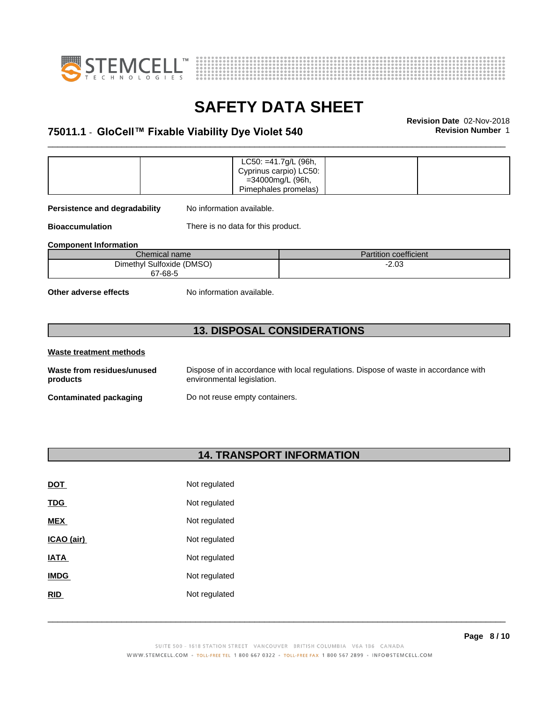



### \_\_\_\_\_\_\_\_\_\_\_\_\_\_\_\_\_\_\_\_\_\_\_\_\_\_\_\_\_\_\_\_\_\_\_\_\_\_\_\_\_\_\_\_\_\_\_\_\_\_\_\_\_\_\_\_\_\_\_\_\_\_\_\_\_\_\_\_\_\_\_\_\_\_\_\_\_\_\_\_\_\_\_\_\_\_\_\_\_\_\_\_\_ **Revision Date** 02-Nov-2018 **75011.1** - **GloCell™ FixableViabilityDyeViolet540 Revision Number** 1

|  | $LC50: = 41.7g/L$ (96h, |  |
|--|-------------------------|--|
|  | Cyprinus carpio) LC50:  |  |
|  | =34000mg/L (96h,        |  |
|  | Pimephales promelas)    |  |

**Persistence and degradability** No information available.

**Bioaccumulation** There is no data for this product.

**Component Information**

| Chemical name             | Partition coefficient |
|---------------------------|-----------------------|
| Dimethyl Sulfoxide (DMSO) | מ מ<br>-2.UJ          |
| 67-68-5                   |                       |

**Other adverse effects** No information available.

### **13. DISPOSAL CONSIDERATIONS**

| Waste treatment methods                |                                                                                                                    |
|----------------------------------------|--------------------------------------------------------------------------------------------------------------------|
| Waste from residues/unused<br>products | Dispose of in accordance with local regulations. Dispose of waste in accordance with<br>environmental legislation. |
| Contaminated packaging                 | Do not reuse empty containers.                                                                                     |

### **14. TRANSPORT INFORMATION**

| <b>DOT</b>  | Not regulated |
|-------------|---------------|
| <b>TDG</b>  | Not regulated |
| <b>MEX</b>  | Not regulated |
| ICAO (air)  | Not regulated |
| IATA        | Not regulated |
| <b>IMDG</b> | Not regulated |
| <b>RID</b>  | Not regulated |
|             |               |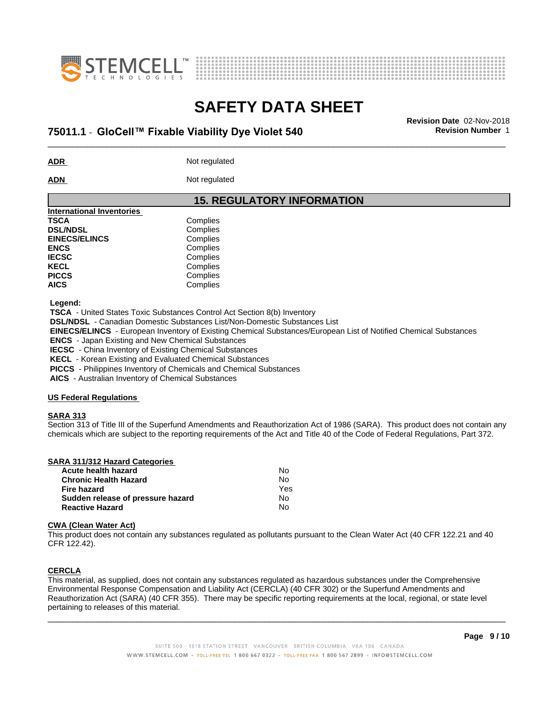



### \_\_\_\_\_\_\_\_\_\_\_\_\_\_\_\_\_\_\_\_\_\_\_\_\_\_\_\_\_\_\_\_\_\_\_\_\_\_\_\_\_\_\_\_\_\_\_\_\_\_\_\_\_\_\_\_\_\_\_\_\_\_\_\_\_\_\_\_\_\_\_\_\_\_\_\_\_\_\_\_\_\_\_\_\_\_\_\_\_\_\_\_\_ **Revision Date** 02-Nov-2018 **75011.1** - **GloCell™ FixableViabilityDyeViolet540 Revision Number** 1

**ADR** Not regulated

ADN Not regulated

### **15. REGULATORY INFORMATION**

| <b>International Inventories</b> |          |  |
|----------------------------------|----------|--|
| <b>TSCA</b>                      | Complies |  |
| <b>DSL/NDSL</b>                  | Complies |  |
| <b>EINECS/ELINCS</b>             | Complies |  |
| <b>ENCS</b>                      | Complies |  |
| <b>IECSC</b>                     | Complies |  |
| <b>KECL</b>                      | Complies |  |
| <b>PICCS</b>                     | Complies |  |
| <b>AICS</b>                      | Complies |  |
|                                  |          |  |

 **Legend:**

 **TSCA** - United States Toxic Substances Control Act Section 8(b) Inventory

 **DSL/NDSL** - Canadian Domestic Substances List/Non-Domestic Substances List

 **EINECS/ELINCS** - European Inventory of Existing Chemical Substances/European List of Notified Chemical Substances

 **ENCS** - Japan Existing and New Chemical Substances

 **IECSC** - China Inventory of Existing Chemical Substances

 **KECL** - Korean Existing and Evaluated Chemical Substances

 **PICCS** - Philippines Inventory of Chemicals and Chemical Substances

 **AICS** - Australian Inventory of Chemical Substances

### **US Federal Regulations**

### **SARA 313**

Section 313 of Title III of the Superfund Amendments and Reauthorization Act of 1986 (SARA). This product does not contain any chemicals which are subject to the reporting requirements of the Act and Title 40 of the Code of Federal Regulations, Part 372.

| SARA 311/312 Hazard Categories |    |  |
|--------------------------------|----|--|
| Acute health hazard            | Nc |  |
| Chronic Health Hazard          | N۵ |  |

| <b>Chronic Health Hazard</b>      | N٥  |  |
|-----------------------------------|-----|--|
| Fire hazard                       | Yes |  |
| Sudden release of pressure hazard | N٥  |  |
| <b>Reactive Hazard</b>            | N٥  |  |

### **CWA** (Clean Water Act)

This product does not contain any substances regulated as pollutants pursuant to the Clean Water Act (40 CFR 122.21 and 40 CFR 122.42).

### **CERCLA**

This material, as supplied, does not contain any substances regulated as hazardous substances under the Comprehensive Environmental Response Compensation and Liability Act (CERCLA) (40 CFR 302) or the Superfund Amendments and Reauthorization Act (SARA) (40 CFR 355). There may be specific reporting requirements at the local, regional, or state level pertaining to releases of this material.